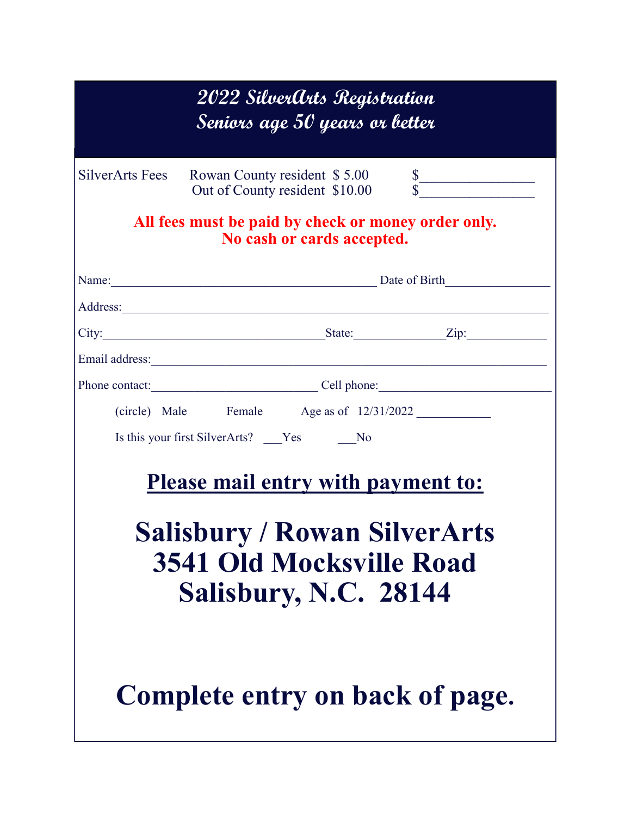| 2022 SilverArts Registration<br>Seniors age 50 years or better                                                                                                                                                                           |
|------------------------------------------------------------------------------------------------------------------------------------------------------------------------------------------------------------------------------------------|
| SilverArts Fees<br>Rowan County resident \$5.00 \$<br>Out of County resident \$10.00 \$                                                                                                                                                  |
| All fees must be paid by check or money order only.<br>No cash or cards accepted.                                                                                                                                                        |
| Name: Date of Birth                                                                                                                                                                                                                      |
|                                                                                                                                                                                                                                          |
| City: <u>City:</u> City: <u>City:</u> City: City: City: City: City: City: City: City: City: City: City: City: City: City: City: City: City: City: City: City: City: City: City: City: City: City: City: City: City: City: City: City: Ci |
|                                                                                                                                                                                                                                          |
| Phone contact: Cell phone: Cell phone:                                                                                                                                                                                                   |
|                                                                                                                                                                                                                                          |
| Is this your first SilverArts? ___Yes ______No                                                                                                                                                                                           |
| <b>Please mail entry with payment to:</b><br><b>Salisbury / Rowan SilverArts</b><br><b>3541 Old Mocksville Road</b><br>Salisbury, N.C. 28144                                                                                             |
| Complete entry on back of page.                                                                                                                                                                                                          |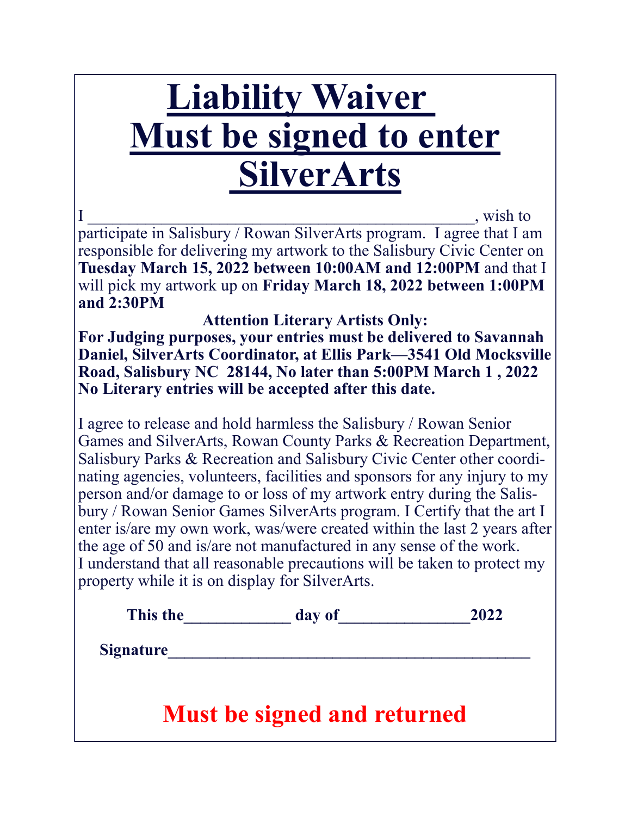# **Liability Waiver Must be signed to enter SilverArts**

I wish to participate in Salisbury / Rowan SilverArts program. I agree that I am responsible for delivering my artwork to the Salisbury Civic Center on **Tuesday March 15, 2022 between 10:00AM and 12:00PM** and that I will pick my artwork up on **Friday March 18, 2022 between 1:00PM and 2:30PM** 

**Attention Literary Artists Only: For Judging purposes, your entries must be delivered to Savannah Daniel, SilverArts Coordinator, at Ellis Park—3541 Old Mocksville Road, Salisbury NC 28144, No later than 5:00PM March 1 , 2022 No Literary entries will be accepted after this date.**

I agree to release and hold harmless the Salisbury / Rowan Senior Games and SilverArts, Rowan County Parks & Recreation Department, Salisbury Parks & Recreation and Salisbury Civic Center other coordinating agencies, volunteers, facilities and sponsors for any injury to my person and/or damage to or loss of my artwork entry during the Salisbury / Rowan Senior Games SilverArts program. I Certify that the art I enter is/are my own work, was/were created within the last 2 years after the age of 50 and is/are not manufactured in any sense of the work. I understand that all reasonable precautions will be taken to protect my property while it is on display for SilverArts.

| This the         | day of                             | 2022 |
|------------------|------------------------------------|------|
| <b>Signature</b> |                                    |      |
|                  |                                    |      |
|                  | <b>Must be signed and returned</b> |      |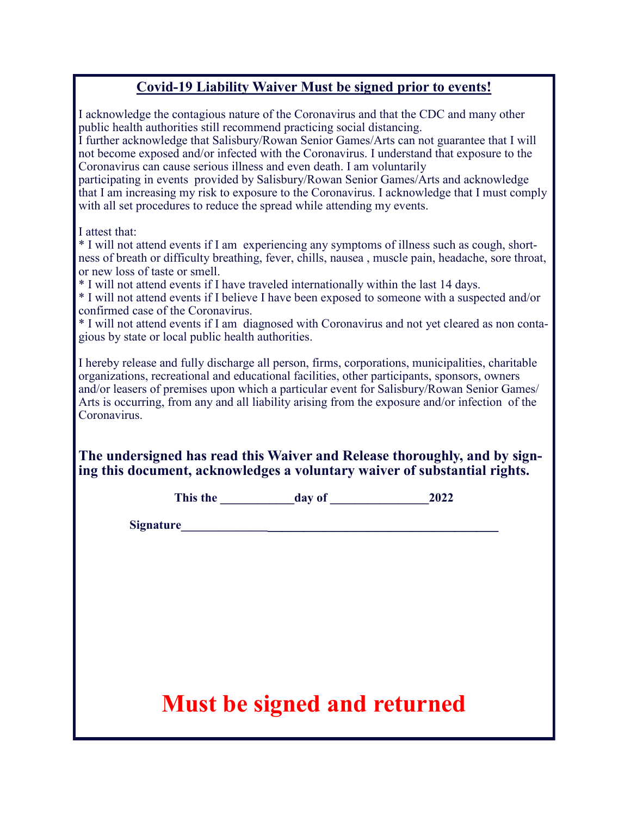#### **Covid-19 Liability Waiver Must be signed prior to events!**

| <b>Must be signed and returned</b>                                                                                                           |  |                                                                                                                                                                                                                                    |                                                                                                                                                                                                                                                                                                                                                                                                                                                                                                                                                             |  |
|----------------------------------------------------------------------------------------------------------------------------------------------|--|------------------------------------------------------------------------------------------------------------------------------------------------------------------------------------------------------------------------------------|-------------------------------------------------------------------------------------------------------------------------------------------------------------------------------------------------------------------------------------------------------------------------------------------------------------------------------------------------------------------------------------------------------------------------------------------------------------------------------------------------------------------------------------------------------------|--|
|                                                                                                                                              |  |                                                                                                                                                                                                                                    |                                                                                                                                                                                                                                                                                                                                                                                                                                                                                                                                                             |  |
|                                                                                                                                              |  | <b>Signature</b> Signature Signature Signature Signature Signature Signature Signature Signature Signature Signature Signature Signature Signature Signature Signature Signature Signature Signature Signature Signature Signature |                                                                                                                                                                                                                                                                                                                                                                                                                                                                                                                                                             |  |
|                                                                                                                                              |  |                                                                                                                                                                                                                                    |                                                                                                                                                                                                                                                                                                                                                                                                                                                                                                                                                             |  |
| Coronavirus.                                                                                                                                 |  |                                                                                                                                                                                                                                    | I hereby release and fully discharge all person, firms, corporations, municipalities, charitable<br>organizations, recreational and educational facilities, other participants, sponsors, owners<br>and/or leasers of premises upon which a particular event for Salisbury/Rowan Senior Games/<br>Arts is occurring, from any and all liability arising from the exposure and/or infection of the<br>The undersigned has read this Waiver and Release thoroughly, and by sign-<br>ing this document, acknowledges a voluntary waiver of substantial rights. |  |
| I attest that:<br>or new loss of taste or smell.<br>confirmed case of the Coronavirus.<br>gious by state or local public health authorities. |  | * I will not attend events if I have traveled internationally within the last 14 days.                                                                                                                                             | * I will not attend events if I am experiencing any symptoms of illness such as cough, short-<br>ness of breath or difficulty breathing, fever, chills, nausea, muscle pain, headache, sore throat,<br>* I will not attend events if I believe I have been exposed to someone with a suspected and/or<br>* I will not attend events if I am diagnosed with Coronavirus and not yet cleared as non conta-                                                                                                                                                    |  |
|                                                                                                                                              |  | public health authorities still recommend practicing social distancing.<br>Coronavirus can cause serious illness and even death. I am voluntarily<br>with all set procedures to reduce the spread while attending my events.       | I acknowledge the contagious nature of the Coronavirus and that the CDC and many other<br>I further acknowledge that Salisbury/Rowan Senior Games/Arts can not guarantee that I will<br>not become exposed and/or infected with the Coronavirus. I understand that exposure to the<br>participating in events provided by Salisbury/Rowan Senior Games/Arts and acknowledge<br>that I am increasing my risk to exposure to the Coronavirus. I acknowledge that I must comply                                                                                |  |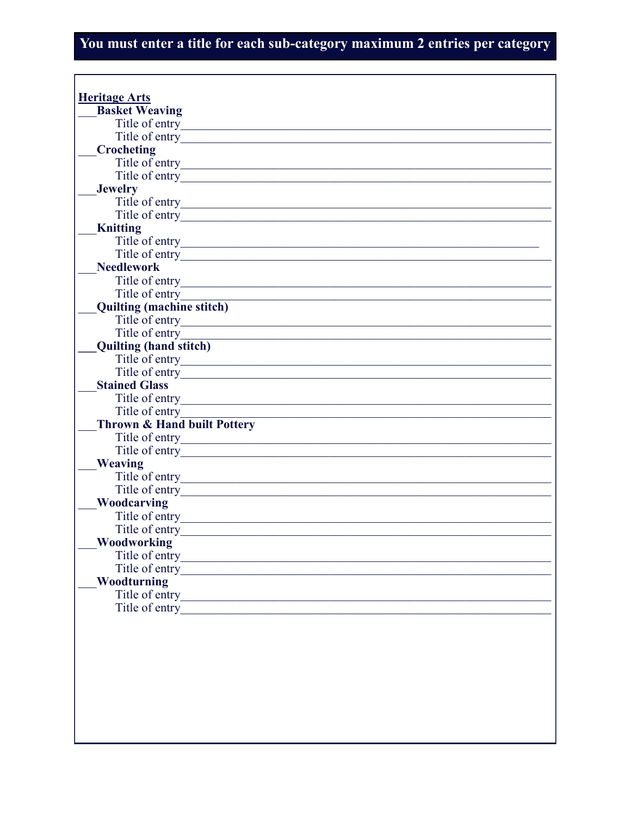#### You must enter a title for each sub-category maximum 2 entries per category

| <b>Basket Weaving</b>                  |                                                                     |
|----------------------------------------|---------------------------------------------------------------------|
| Title of entry                         |                                                                     |
| Title of entry                         |                                                                     |
| Crocheting                             |                                                                     |
|                                        |                                                                     |
| Title of entry                         |                                                                     |
| <b>Jewelry</b>                         |                                                                     |
| Title of entry                         |                                                                     |
| Title of entry                         |                                                                     |
| <b>Knitting</b>                        |                                                                     |
| Title of entry                         | <u> 1989 - Johann Barbara, martxa alemaniar amerikan basar da a</u> |
| Title of entry                         |                                                                     |
| <b>Needlework</b>                      |                                                                     |
|                                        |                                                                     |
|                                        |                                                                     |
| <b>Quilting (machine stitch)</b>       |                                                                     |
| Title of entry                         |                                                                     |
| Title of entry                         |                                                                     |
| <b>Quilting (hand stitch)</b>          |                                                                     |
| Title of entry                         |                                                                     |
| Title of entry                         |                                                                     |
| <b>Stained Glass</b>                   |                                                                     |
| Title of entry                         |                                                                     |
| Title of entry                         |                                                                     |
| <b>Thrown &amp; Hand built Pottery</b> |                                                                     |
| Title of entry                         |                                                                     |
| Title of entry                         |                                                                     |
| <b>Weaving</b>                         |                                                                     |
| Title of entry                         | <u> 1989 - Johann Barbara, martxa alemaniar a</u>                   |
| Title of entry                         |                                                                     |
| Woodcarving                            |                                                                     |
| Title of entry                         |                                                                     |
| Title of entry                         |                                                                     |
| <b>Woodworking</b>                     |                                                                     |
| Title of entry                         |                                                                     |
| Title of entry                         |                                                                     |
| Woodturning                            |                                                                     |
| Title of entry                         |                                                                     |
| Title of entry                         |                                                                     |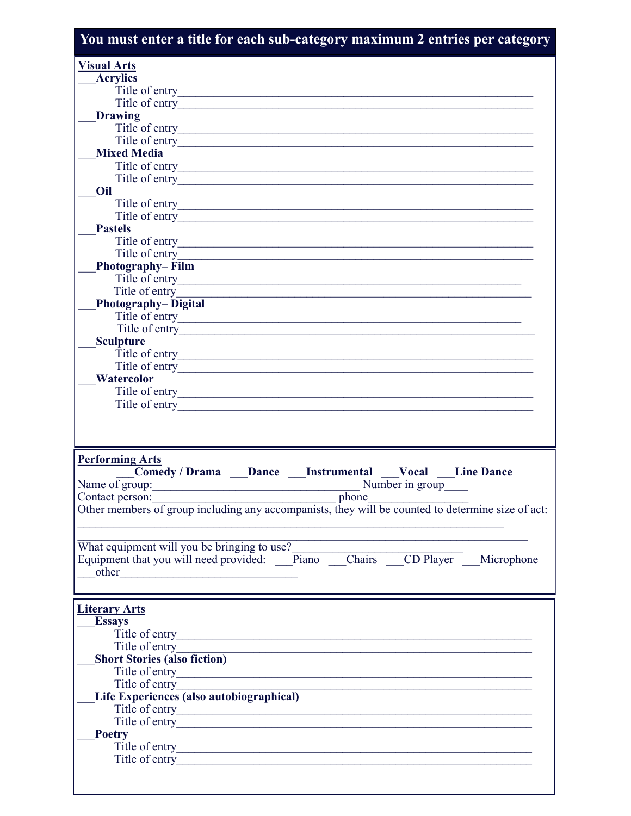| You must enter a title for each sub-category maximum 2 entries per category                                                                      |
|--------------------------------------------------------------------------------------------------------------------------------------------------|
| <b>Visual Arts</b>                                                                                                                               |
| <b>Acrylics</b>                                                                                                                                  |
| Title of entry                                                                                                                                   |
| Title of entry                                                                                                                                   |
| <b>Drawing</b>                                                                                                                                   |
|                                                                                                                                                  |
| Title of entry                                                                                                                                   |
| <b>Mixed Media</b>                                                                                                                               |
|                                                                                                                                                  |
|                                                                                                                                                  |
| Oil                                                                                                                                              |
|                                                                                                                                                  |
| <b>Pastels</b>                                                                                                                                   |
|                                                                                                                                                  |
|                                                                                                                                                  |
| <b>Photography–Film</b>                                                                                                                          |
|                                                                                                                                                  |
| Title of entry<br>Title of entry                                                                                                                 |
| <b>Photography-Digital</b>                                                                                                                       |
| Title of entry                                                                                                                                   |
| Title of entry                                                                                                                                   |
| <b>Sculpture</b>                                                                                                                                 |
|                                                                                                                                                  |
| Title of entry                                                                                                                                   |
| Watercolor                                                                                                                                       |
|                                                                                                                                                  |
| Title of entry                                                                                                                                   |
|                                                                                                                                                  |
|                                                                                                                                                  |
|                                                                                                                                                  |
| <b>Performing Arts</b>                                                                                                                           |
| Comedy / Drama Dance Instrumental Vocal Line Dance                                                                                               |
| Name of group:<br>Number in group                                                                                                                |
| phone<br>Contact person:<br>Contact person:<br>Other members of group including any accompanists, they will be counted to determine size of act: |
|                                                                                                                                                  |
|                                                                                                                                                  |
| What equipment will you be bringing to use?                                                                                                      |
| Equipment that you will need provided: <u>Piano Chairs CD Player</u> Microphone                                                                  |
| other<br><u> 1980 - Jan Samuel Barbara, margaret eta idazlea (h. 1980).</u>                                                                      |
|                                                                                                                                                  |
|                                                                                                                                                  |
| <b>Literary Arts</b>                                                                                                                             |
| <b>Essays</b>                                                                                                                                    |
| Title of entry                                                                                                                                   |
| Title of entry                                                                                                                                   |
| <b>Short Stories (also fiction)</b>                                                                                                              |
| Title of entry                                                                                                                                   |
| Title of entry                                                                                                                                   |
| Life Experiences (also autobiographical)                                                                                                         |
| Title of entry                                                                                                                                   |
| Title of entry                                                                                                                                   |
| <b>Poetry</b>                                                                                                                                    |
| Title of entry                                                                                                                                   |
|                                                                                                                                                  |
|                                                                                                                                                  |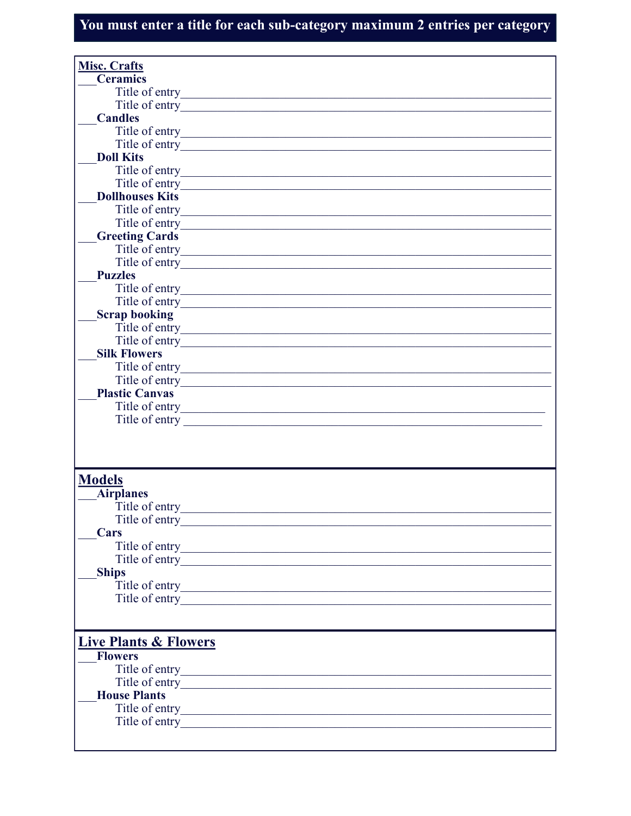### You must enter a title for each sub-category maximum 2 entries per category

| <b>Misc. Crafts</b>                                                                        |  |
|--------------------------------------------------------------------------------------------|--|
| <b>Ceramics</b>                                                                            |  |
|                                                                                            |  |
| Title of entry                                                                             |  |
| <b>Candles</b>                                                                             |  |
|                                                                                            |  |
|                                                                                            |  |
| Title of entry                                                                             |  |
| <b>Doll Kits</b>                                                                           |  |
|                                                                                            |  |
| Title of entry                                                                             |  |
| <b>Dollhouses Kits</b>                                                                     |  |
|                                                                                            |  |
| Title of entry                                                                             |  |
| <b>Greeting Cards</b>                                                                      |  |
| Title of entry                                                                             |  |
| Title of entry                                                                             |  |
| <b>Puzzles</b>                                                                             |  |
| Title of entry                                                                             |  |
| <u> 1989 - Johann Stoff, Amerikaansk politiker (d. 1989)</u>                               |  |
| Title of entry                                                                             |  |
| <b>Scrap booking</b>                                                                       |  |
|                                                                                            |  |
| Title of entry                                                                             |  |
| <b>Silk Flowers</b>                                                                        |  |
|                                                                                            |  |
| Title of entry                                                                             |  |
| <b>Plastic Canvas</b>                                                                      |  |
|                                                                                            |  |
| Title of entry                                                                             |  |
|                                                                                            |  |
|                                                                                            |  |
|                                                                                            |  |
|                                                                                            |  |
| <b>Models</b>                                                                              |  |
|                                                                                            |  |
| <b>Airplanes</b>                                                                           |  |
| Title of entry                                                                             |  |
| Title of entry                                                                             |  |
| Cars                                                                                       |  |
|                                                                                            |  |
|                                                                                            |  |
| <b>Ships</b>                                                                               |  |
|                                                                                            |  |
|                                                                                            |  |
|                                                                                            |  |
|                                                                                            |  |
|                                                                                            |  |
| <b>Live Plants &amp; Flowers</b>                                                           |  |
| <b>Flowers</b>                                                                             |  |
|                                                                                            |  |
|                                                                                            |  |
| <b>House Plants</b>                                                                        |  |
| Title of entry<br><u> 1989 - Johann John Stone, mars an deus Amerikaansk kommunister (</u> |  |
| Title of entry                                                                             |  |
|                                                                                            |  |
|                                                                                            |  |